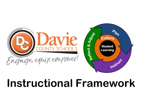

# **Instructional Framework**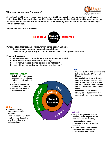

#### **What is an Instructional Framework?**

**An instructional framework provides a structure that helps teachers design and deliver effective instruction. The framework also identifies the key components that facilitate quality teaching, so that teachers, school administrators, and district staff can recognize and talk about instruction using a common language.**

#### **Why an Instructional Framework?**



#### **Purpose of an Instructional Framework in Davie County Schools**

- **Consistency in communication of expectations.**
- **Common language to support collaboration around high quality instruction.**

#### **Framing Questions**

- **1. What do we want our students to learn and be able to do?**
- **2. How will we know students are learning?**
- **3. How will we respond when students do not learn?**
- **4. How will we respond when students have learned?**



#### **Plan**

- **Align instruction and assessments to the NC Standard Course of Study.**
- **Work collaboratively to design engaging lessons using a variety of data sources. Organize, plan, and set goals that meet the needs of the individual student and the class.**
- **Incorporate instructional strategies and processes that engage all students in learning.**

#### **Instruct**

- **Apply strategies and deliver lessons, which align to the NC Standard Course of Study.**
- **Incorporate engagement strategies to promote student learning.**
- **Monitor student learning and adjust instruction to address individual learning needs.**

### **Reflect & Adjust**

- **Collaboratively analyze assessment results and reflect on instructional practices.**
- **Provide meaningful feedback to students.**
- **Modify instruction in response to data.**

#### **Culture**

- **Communicate high expectations for all students.**
- **Promote positive working relationships through a growth mindset and collaboration.**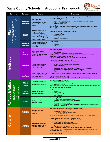

| <b>Domains</b>                                                                                         | <b>Concepts</b>                              | <b>Actions</b>                                                                                                                                                                                | <b>Evidences</b>                                                                                                                                                                                                                                                                                                                                                                                                                                                                                                                                                                                                          |
|--------------------------------------------------------------------------------------------------------|----------------------------------------------|-----------------------------------------------------------------------------------------------------------------------------------------------------------------------------------------------|---------------------------------------------------------------------------------------------------------------------------------------------------------------------------------------------------------------------------------------------------------------------------------------------------------------------------------------------------------------------------------------------------------------------------------------------------------------------------------------------------------------------------------------------------------------------------------------------------------------------------|
|                                                                                                        | <b>Standards</b><br><b>Alignment</b>         | Align curriculum,<br>instruction, and<br>assessments to the NC<br><b>Standard Course of</b><br>Study.                                                                                         | Standards alignment takes place during regularly scheduled PLCs (school or<br>district level) in order to<br>• understand the rigor of the standard;<br>clarify what students are expected to know, understand and be able to do;<br>plan with the end in mind;<br>establish learning goals;<br>• align standards vertically.<br>Formative and summative assessments are aligned to the skill and rigor of the<br>standard(s) and created prior to designing the lesson.                                                                                                                                                  |
| How will we know students are learning?<br>What do we want our students to learn<br>and be able to do? | <b>Lesson</b><br><b>Design</b>               | Work collaboratively to<br>design engaging lessons<br>using a variety of data<br>sources. Organize, plan,<br>and set goals that meet<br>the needs of the individual<br>student and the class. | Thoughtfully prepared lesson plans include<br>• standards-aligned materials and resources;<br>clear learning goals;<br>$\bullet$<br>direct instruction;<br>student practice;<br>• checks for understanding.                                                                                                                                                                                                                                                                                                                                                                                                               |
|                                                                                                        | <b>Instructional</b><br><b>Strategies</b>    | Incorporate instructional<br>strategies and processes<br>that engage all students<br>in learning.                                                                                             | Strategies are<br>• research-based;<br>high-yield;<br>۰<br>• culturally responsive;<br>• varied and based on student needs and interests.                                                                                                                                                                                                                                                                                                                                                                                                                                                                                 |
| <b>Instruct</b>                                                                                        | <b>Focused</b><br><b>Instruction</b>         | Apply strategies and<br>deliver lessons, which<br>align to the NC Standard<br><b>Course of Study.</b>                                                                                         | Learning goal(s) are<br>aligned to standards;<br>$\bullet$<br>posted and current;<br>clearly communicated and understood by the students.<br>$\bullet$<br>The lesson links prior and future learning to provide relevance and context.<br>Use of time is strategic and intentional.<br>Students make connections and are instructionally responsive.                                                                                                                                                                                                                                                                      |
|                                                                                                        | <b>Engagement</b>                            | Incorporate engagement<br>strategies to promote<br>student learning.                                                                                                                          | Students are engaged when there is<br>• effective classroom management which includes<br>o efficient and smooth transitions,<br>o clear routines, procedures, and expectations;<br>• active participation;<br>student accountability;<br>the 4 Cs: Critical Thinking, Creativity, Collaboration, and Communication;<br>student ownership and responsibility of their own learning.<br>Technology is used intentionally to maximize instruction.                                                                                                                                                                           |
|                                                                                                        | <b>Progress</b><br><b>Monitoring</b>         | <b>Monitor student learning</b><br>and adjust instruction to<br>address individual<br>learning needs.                                                                                         | Progress towards student mastery of learning goals is measured by formative<br>assessments.<br><b>Students self-monitor progress.</b><br>Multiple opportunities provided to demonstrate standards mastery.                                                                                                                                                                                                                                                                                                                                                                                                                |
| & Adjust                                                                                               | Analyze<br><b>Student</b><br><b>Progress</b> | <b>Collaboratively analyze</b><br>assessment results and<br>reflect on instructional<br>practices.                                                                                            | <b>Formative assessment data is</b><br>• analyzed in a timely manner;<br>• used to measure standards mastery;<br>• shared with the PLC.<br>Common formative assessments are reviewed to identify individual student needs<br>for intervention and/or enrichment.                                                                                                                                                                                                                                                                                                                                                          |
| respond when<br>ave learned?<br>respond when<br>to not learn?                                          | <b>Student</b><br><b>Feedback</b>            | <b>Provide meaningful</b><br>feedback to students.                                                                                                                                            | <b>Feedback provided is</b><br>$\bullet$ timely;<br>• constructive;<br>• specific for next steps to reach mastery;<br>individualized.                                                                                                                                                                                                                                                                                                                                                                                                                                                                                     |
| How will we re<br>students have<br>low will we r<br>students do<br>etlec                               | <b>Modify</b>                                | <b>Modify instruction in</b><br>response to data.                                                                                                                                             | Responding to data may include<br>• re-teaching and reassessing standards;<br>extending the standards or providing enrichment;<br>flexible grouping;<br>adapting instructional strategies;<br>participating regularly in problem-solving teams to address student needs (academics,<br>behaviors, social/emotional).                                                                                                                                                                                                                                                                                                      |
| <b>Culture</b>                                                                                         | <b>Classroom</b><br><b>Environment</b>       | Communicate high<br>expectations for all<br>students.                                                                                                                                         | High expectations for all students are observed when<br>• clear routines, procedures, and expectations are taught and reinforced;<br>• the learning environment is<br>$\circ$ inviting, respectful, and supportive;<br>o inclusive and flexible.<br>Materials selected and lessons developed to incorporate different points-of-view.                                                                                                                                                                                                                                                                                     |
|                                                                                                        | <b>Professional</b><br><b>Environment</b>    | <b>Promote positive working</b><br>relationships through a<br>growth mindset and<br>collaboration.                                                                                            | Positive working relationships are observed when<br>• setbacks are viewed as an opportunity to learn and grow;<br>• feedback is welcome;<br>problem-solving models are utilized;<br>• conversations revolve around moving forward;<br>growth is celebrated and recognized;<br>$\bullet$<br>• high expectations are in place.<br>Positive changes in policies and instructional practices are supported.<br>School improvement is promoted through active participation in a professional<br>learning community.<br>Partnerships are built with families and community members through collaboration<br>and communication. |

#### **August 2019**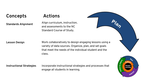### **Concepts**

# **Actions**

**Standards Alignment**

Align curriculum, instruction, and assessments to the NC Standard Course of Study.



### **Lesson Design**

Work collaboratively to design engaging lessons using a variety of data sources. Organize, plan, and set goals that meet the needs of the individual student and the class.

### **Instructional Strategies**

Incorporate instructional strategies and processes that engage all students in learning.

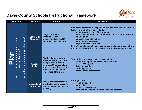

| <b>Domains</b>                                                                | <b>Concepts</b>                           | <b>Actions</b>                                                                                                                                                                                       | <b>Evidences</b>                                                                                                                                                                                                                                                                                                                                                                                                                                                                  |
|-------------------------------------------------------------------------------|-------------------------------------------|------------------------------------------------------------------------------------------------------------------------------------------------------------------------------------------------------|-----------------------------------------------------------------------------------------------------------------------------------------------------------------------------------------------------------------------------------------------------------------------------------------------------------------------------------------------------------------------------------------------------------------------------------------------------------------------------------|
| dents to learn                                                                | <b>Standards</b><br><b>Alignment</b>      | Align curriculum,<br>instruction, and<br>assessments to the NC<br><b>Standard Course of Study.</b>                                                                                                   | Standards alignment takes place during regularly scheduled PLCs<br>(school or district level) in order to<br>. understand the rigor of the standard;<br>. clarify what students are expected to know, understand and<br>be able to do;<br>. plan with the end in mind;<br>. establish learning goals;<br>. align standards vertically.<br>Formative and summative assessments are aligned to the skill and<br>rigor of the standard(s) and created prior to designing the lesson. |
| How will we know students are learning?<br>and be able to do?<br>What do we w | <b>Lesson</b><br><b>Design</b>            | <b>Work collaboratively to</b><br>design engaging lessons<br>using a variety of data<br>sources. Organize, plan,<br>and set goals that meet the<br>needs of the individual<br>student and the class. | Thoughtfully prepared lesson plans include<br>· standards-aligned materials and resources;<br>. clear learning goals;<br>. direct instruction;<br>. student practice;<br>. checks for understanding.                                                                                                                                                                                                                                                                              |
|                                                                               | <b>Instructional</b><br><b>Strategies</b> | Incorporate instructional<br>strategies and processes<br>that engage all students in<br>learning.                                                                                                    | <b>Strategies are</b><br>· research-based;<br>. high-yield;<br>. culturally responsive;<br>• varied and based on student needs and interests.                                                                                                                                                                                                                                                                                                                                     |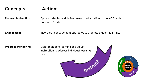#### **Concepts Actions**

**Focused Instruction**

Apply strategies and deliver lessons, which align to the NC Standard Course of Study.

**Engagement**

Incorporate engagement strategies to promote student learning.

**Progress Monitoring**

Monitor student learning and adjust instruction to address individual learning needs.



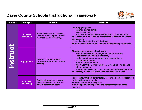

| <b>Domains</b> | <b>Concepts</b>                      | <b>Actions</b>                                                                                     | <b>Evidences</b>                                                                                                                                                                                                                                                                                                                                                                                                                                             |
|----------------|--------------------------------------|----------------------------------------------------------------------------------------------------|--------------------------------------------------------------------------------------------------------------------------------------------------------------------------------------------------------------------------------------------------------------------------------------------------------------------------------------------------------------------------------------------------------------------------------------------------------------|
| Instruct       | <b>Focused</b><br><b>Instruction</b> | Apply strategies and deliver<br>lessons, which align to the NC<br><b>Standard Course of Study.</b> | Learning goal(s) are<br>. aligned to standards;<br>. posted and current;<br>. clearly communicated and understood by the students.<br>The lesson links prior and future learning to provide relevance<br>and context.<br>Use of time is strategic and intentional.<br>Students make connections and are instructionally responsive.                                                                                                                          |
|                | <b>Engagement</b>                    | Incorporate engagement<br>strategies to promote student<br>learning.                               | Students are engaged when there is<br>effective classroom management which includes<br>o efficient and smooth transitions,<br>oclear routines, procedures, and expectations;<br>. active participation;<br>. student accountability;<br>. the 4 Cs: Critical Thinking, Creativity, Collaboration, and<br><b>Communication;</b><br>. student ownership and responsibility of their own learning.<br>Technology is used intentionally to maximize instruction. |
|                | <b>Progress</b><br><b>Monitoring</b> | Monitor student learning and<br>adjust instruction to address<br>individual learning needs.        | Progress towards student mastery of learning goals is measured<br>by formative assessments.<br>Students self-monitor progress.<br>Multiple opportunities provided to demonstrate standards<br>mastery.                                                                                                                                                                                                                                                       |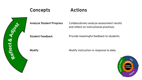### **Concepts Actions**



**Analyze Student Progress**

Collaboratively analyze assessment results and reflect on instructional practices.

**Student Feedback**

Provide meaningful feedback to students.

**Modify**

Modify instruction in response to data.

![](_page_9_Picture_8.jpeg)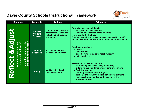![](_page_10_Picture_1.jpeg)

| <b>Domains</b>                                                    | <b>Concepts</b>                                     | <b>Actions</b>                                                                                     | <b>Evidences</b>                                                                                                                                                                                                                                                                                                                   |
|-------------------------------------------------------------------|-----------------------------------------------------|----------------------------------------------------------------------------------------------------|------------------------------------------------------------------------------------------------------------------------------------------------------------------------------------------------------------------------------------------------------------------------------------------------------------------------------------|
| t & Adjust                                                        | <b>Analyze</b><br><b>Student</b><br><b>Progress</b> | <b>Collaboratively analyze</b><br>assessment results and<br>reflect on instructional<br>practices. | <b>Formative assessment data is</b><br>. analyzed in a timely manner;<br>. used to measure standards mastery;<br>. shared with the PLC.<br>Common formative assessments are reviewed to identify<br>individual student needs for intervention and/or enrichment.                                                                   |
| e respond when<br>have learned?<br>do not learn<br>will we        | <b>Student</b><br><b>Feedback</b>                   | <b>Provide meaningful</b><br>feedback to students.                                                 | <b>Feedback provided is</b><br>. timely;<br>. constructive;<br>. specific for next steps to reach mastery;<br>. individualized.                                                                                                                                                                                                    |
| students<br>students<br><b>MIII woll</b><br>Reflect<br><b>MOH</b> | <b>Modify</b>                                       | <b>Modify instruction in</b><br>response to data.                                                  | <b>Responding to data may include</b><br>. re-teaching and reassessing standards;<br>extending the standards or providing enrichment;<br>. flexible grouping;<br>· adapting instructional strategies;<br>participating regularly in problem-solving teams to<br>address student needs (academics, behaviors,<br>social/emotional). |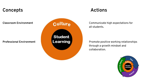# **Concepts**

**Classroom Environment**

**Professional Environment**

![](_page_11_Figure_3.jpeg)

# **Actions**

Communicate high expectations for all students.

Promote positive working relationships through a growth mindset and collaboration.

![](_page_11_Picture_7.jpeg)